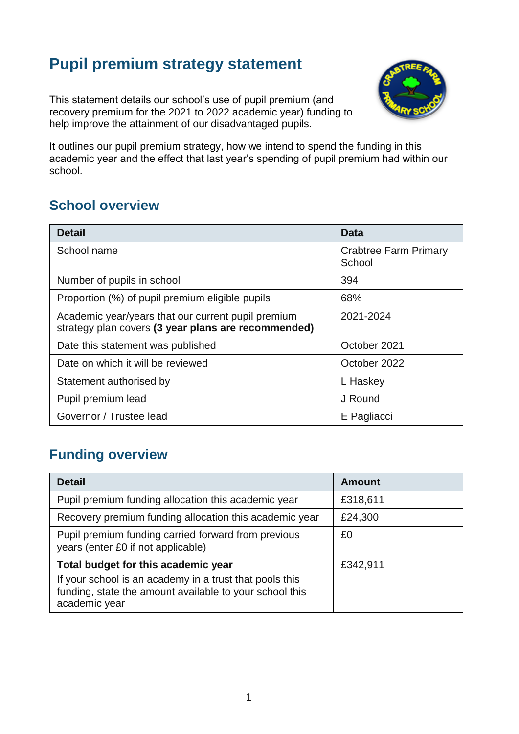# **Pupil premium strategy statement**

This statement details our school's use of pupil premium (and recovery premium for the 2021 to 2022 academic year) funding to help improve the attainment of our disadvantaged pupils.



It outlines our pupil premium strategy, how we intend to spend the funding in this academic year and the effect that last year's spending of pupil premium had within our school.

# **School overview**

| <b>Detail</b>                                                                                             | Data                                   |
|-----------------------------------------------------------------------------------------------------------|----------------------------------------|
| School name                                                                                               | <b>Crabtree Farm Primary</b><br>School |
| Number of pupils in school                                                                                | 394                                    |
| Proportion (%) of pupil premium eligible pupils                                                           | 68%                                    |
| Academic year/years that our current pupil premium<br>strategy plan covers (3 year plans are recommended) | 2021-2024                              |
| Date this statement was published                                                                         | October 2021                           |
| Date on which it will be reviewed                                                                         | October 2022                           |
| Statement authorised by                                                                                   | L Haskey                               |
| Pupil premium lead                                                                                        | J Round                                |
| Governor / Trustee lead                                                                                   | E Pagliacci                            |

# **Funding overview**

| <b>Detail</b>                                                                                                                                                              | <b>Amount</b> |
|----------------------------------------------------------------------------------------------------------------------------------------------------------------------------|---------------|
| Pupil premium funding allocation this academic year                                                                                                                        | £318,611      |
| Recovery premium funding allocation this academic year                                                                                                                     | £24,300       |
| Pupil premium funding carried forward from previous<br>years (enter £0 if not applicable)                                                                                  | £0            |
| Total budget for this academic year<br>If your school is an academy in a trust that pools this<br>funding, state the amount available to your school this<br>academic year | £342,911      |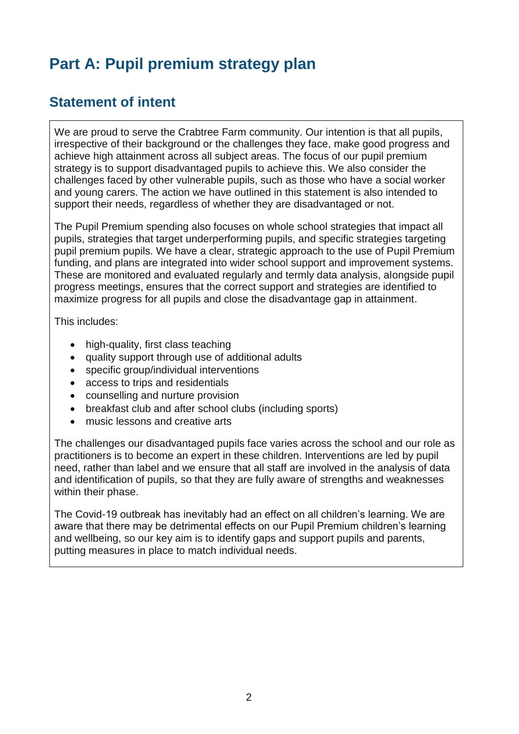# **Part A: Pupil premium strategy plan**

### **Statement of intent**

We are proud to serve the Crabtree Farm community. Our intention is that all pupils, irrespective of their background or the challenges they face, make good progress and achieve high attainment across all subject areas. The focus of our pupil premium strategy is to support disadvantaged pupils to achieve this. We also consider the challenges faced by other vulnerable pupils, such as those who have a social worker and young carers. The action we have outlined in this statement is also intended to support their needs, regardless of whether they are disadvantaged or not.

The Pupil Premium spending also focuses on whole school strategies that impact all pupils, strategies that target underperforming pupils, and specific strategies targeting pupil premium pupils. We have a clear, strategic approach to the use of Pupil Premium funding, and plans are integrated into wider school support and improvement systems. These are monitored and evaluated regularly and termly data analysis, alongside pupil progress meetings, ensures that the correct support and strategies are identified to maximize progress for all pupils and close the disadvantage gap in attainment.

This includes:

- high-quality, first class teaching
- quality support through use of additional adults
- specific group/individual interventions
- access to trips and residentials
- counselling and nurture provision
- breakfast club and after school clubs (including sports)
- music lessons and creative arts

The challenges our disadvantaged pupils face varies across the school and our role as practitioners is to become an expert in these children. Interventions are led by pupil need, rather than label and we ensure that all staff are involved in the analysis of data and identification of pupils, so that they are fully aware of strengths and weaknesses within their phase.

The Covid-19 outbreak has inevitably had an effect on all children's learning. We are aware that there may be detrimental effects on our Pupil Premium children's learning and wellbeing, so our key aim is to identify gaps and support pupils and parents, putting measures in place to match individual needs.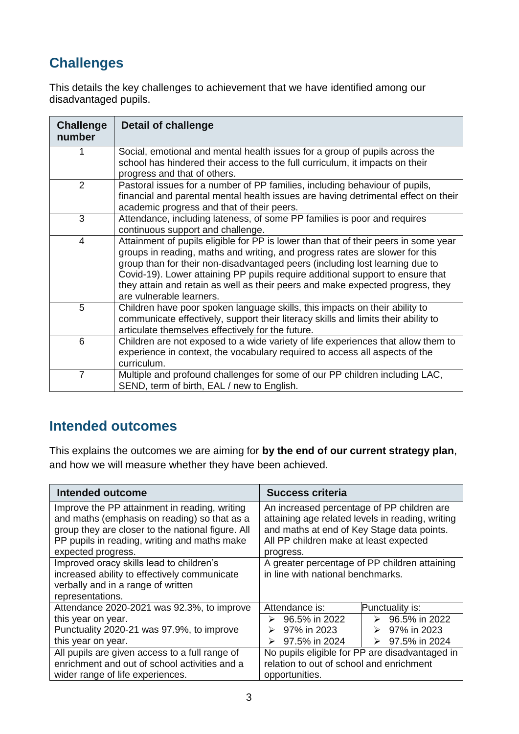# **Challenges**

This details the key challenges to achievement that we have identified among our disadvantaged pupils.

| <b>Challenge</b><br>number | <b>Detail of challenge</b>                                                                                                                                                                                                                                                                                                                                                                                                                          |
|----------------------------|-----------------------------------------------------------------------------------------------------------------------------------------------------------------------------------------------------------------------------------------------------------------------------------------------------------------------------------------------------------------------------------------------------------------------------------------------------|
|                            | Social, emotional and mental health issues for a group of pupils across the<br>school has hindered their access to the full curriculum, it impacts on their<br>progress and that of others.                                                                                                                                                                                                                                                         |
| $\overline{2}$             | Pastoral issues for a number of PP families, including behaviour of pupils,<br>financial and parental mental health issues are having detrimental effect on their<br>academic progress and that of their peers.                                                                                                                                                                                                                                     |
| 3                          | Attendance, including lateness, of some PP families is poor and requires<br>continuous support and challenge.                                                                                                                                                                                                                                                                                                                                       |
| $\overline{4}$             | Attainment of pupils eligible for PP is lower than that of their peers in some year<br>groups in reading, maths and writing, and progress rates are slower for this<br>group than for their non-disadvantaged peers (including lost learning due to<br>Covid-19). Lower attaining PP pupils require additional support to ensure that<br>they attain and retain as well as their peers and make expected progress, they<br>are vulnerable learners. |
| 5                          | Children have poor spoken language skills, this impacts on their ability to<br>communicate effectively, support their literacy skills and limits their ability to<br>articulate themselves effectively for the future.                                                                                                                                                                                                                              |
| 6                          | Children are not exposed to a wide variety of life experiences that allow them to<br>experience in context, the vocabulary required to access all aspects of the<br>curriculum.                                                                                                                                                                                                                                                                     |
| $\overline{7}$             | Multiple and profound challenges for some of our PP children including LAC,<br>SEND, term of birth, EAL / new to English.                                                                                                                                                                                                                                                                                                                           |

# **Intended outcomes**

This explains the outcomes we are aiming for **by the end of our current strategy plan**, and how we will measure whether they have been achieved.

| Intended outcome                                                                              | <b>Success criteria</b>                                                                        |
|-----------------------------------------------------------------------------------------------|------------------------------------------------------------------------------------------------|
| Improve the PP attainment in reading, writing<br>and maths (emphasis on reading) so that as a | An increased percentage of PP children are<br>attaining age related levels in reading, writing |
| group they are closer to the national figure. All                                             | and maths at end of Key Stage data points.                                                     |
| PP pupils in reading, writing and maths make<br>expected progress.                            | All PP children make at least expected<br>progress.                                            |
| Improved oracy skills lead to children's                                                      | A greater percentage of PP children attaining                                                  |
| increased ability to effectively communicate<br>verbally and in a range of written            | in line with national benchmarks.                                                              |
| representations.                                                                              |                                                                                                |
| Attendance 2020-2021 was 92.3%, to improve                                                    | Attendance is:<br>Punctuality is:                                                              |
| this year on year.                                                                            | 96.5% in 2022<br>96.5% in 2022<br>➤<br>➤                                                       |
| Punctuality 2020-21 was 97.9%, to improve                                                     | 97% in 2023<br>97% in 2023<br>⋗                                                                |
| this year on year.                                                                            | 97.5% in 2024<br>97.5% in 2024<br>➤<br>⋗                                                       |
| All pupils are given access to a full range of                                                | No pupils eligible for PP are disadvantaged in                                                 |
| enrichment and out of school activities and a                                                 | relation to out of school and enrichment                                                       |
| wider range of life experiences.                                                              | opportunities.                                                                                 |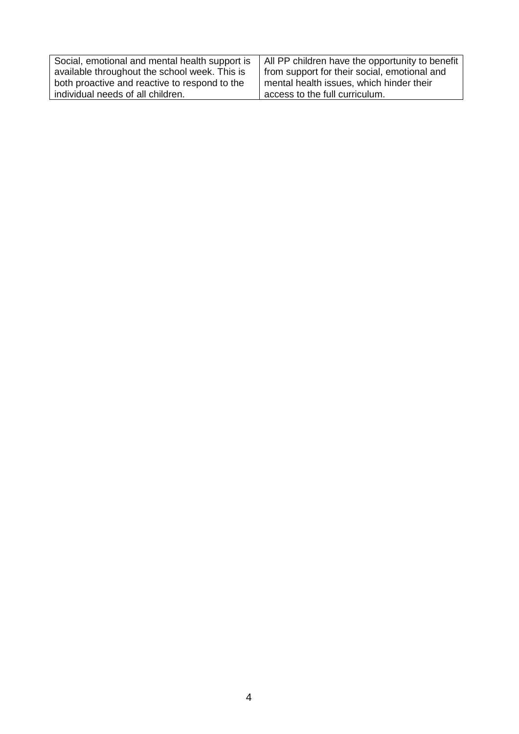| Social, emotional and mental health support is | All PP children have the opportunity to benefit |
|------------------------------------------------|-------------------------------------------------|
| available throughout the school week. This is  | from support for their social, emotional and    |
| both proactive and reactive to respond to the  | mental health issues, which hinder their        |
| individual needs of all children.              | access to the full curriculum.                  |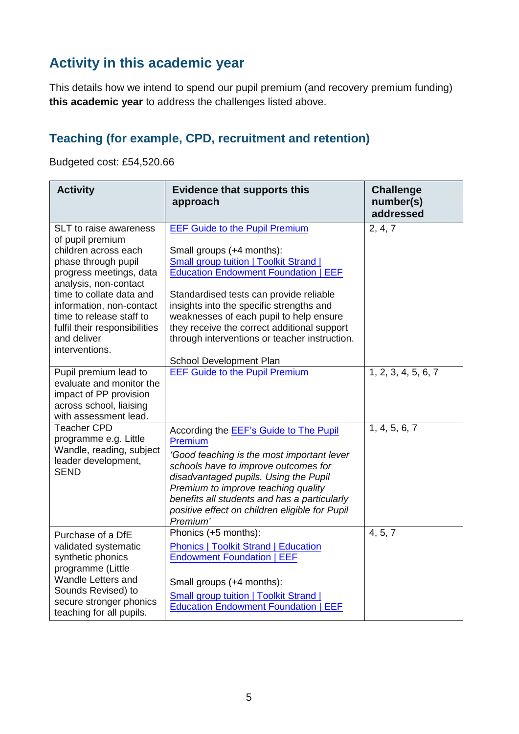# **Activity in this academic year**

This details how we intend to spend our pupil premium (and recovery premium funding) **this academic year** to address the challenges listed above.

#### **Teaching (for example, CPD, recruitment and retention)**

Budgeted cost: £54,520.66

| <b>Activity</b>                                                                                                                                                                                                                                                                                            | <b>Evidence that supports this</b><br>approach                                                                                                                                                                                                                                                                                                                                                                                  | <b>Challenge</b><br>number(s)<br>addressed |
|------------------------------------------------------------------------------------------------------------------------------------------------------------------------------------------------------------------------------------------------------------------------------------------------------------|---------------------------------------------------------------------------------------------------------------------------------------------------------------------------------------------------------------------------------------------------------------------------------------------------------------------------------------------------------------------------------------------------------------------------------|--------------------------------------------|
| <b>SLT</b> to raise awareness<br>of pupil premium<br>children across each<br>phase through pupil<br>progress meetings, data<br>analysis, non-contact<br>time to collate data and<br>information, non-contact<br>time to release staff to<br>fulfil their responsibilities<br>and deliver<br>interventions. | <b>EEF Guide to the Pupil Premium</b><br>Small groups (+4 months):<br><b>Small group tuition   Toolkit Strand  </b><br><b>Education Endowment Foundation   EEF</b><br>Standardised tests can provide reliable<br>insights into the specific strengths and<br>weaknesses of each pupil to help ensure<br>they receive the correct additional support<br>through interventions or teacher instruction.<br>School Development Plan | 2, 4, 7                                    |
| Pupil premium lead to<br>evaluate and monitor the<br>impact of PP provision<br>across school, liaising<br>with assessment lead.                                                                                                                                                                            | <b>EEF Guide to the Pupil Premium</b>                                                                                                                                                                                                                                                                                                                                                                                           | 1, 2, 3, 4, 5, 6, 7                        |
| <b>Teacher CPD</b><br>programme e.g. Little<br>Wandle, reading, subject<br>leader development,<br><b>SEND</b>                                                                                                                                                                                              | According the <b>EEF's Guide to The Pupil</b><br>Premium<br>'Good teaching is the most important lever<br>schools have to improve outcomes for<br>disadvantaged pupils. Using the Pupil<br>Premium to improve teaching quality<br>benefits all students and has a particularly<br>positive effect on children eligible for Pupil<br>Premium'                                                                                    | 1, 4, 5, 6, 7                              |
| Purchase of a DfE<br>validated systematic<br>synthetic phonics<br>programme (Little<br>Wandle Letters and<br>Sounds Revised) to<br>secure stronger phonics<br>teaching for all pupils.                                                                                                                     | Phonics (+5 months):<br><b>Phonics   Toolkit Strand   Education</b><br><b>Endowment Foundation   EEF</b><br>Small groups (+4 months):<br><b>Small group tuition   Toolkit Strand  </b><br><b>Education Endowment Foundation   EEF</b>                                                                                                                                                                                           | 4, 5, 7                                    |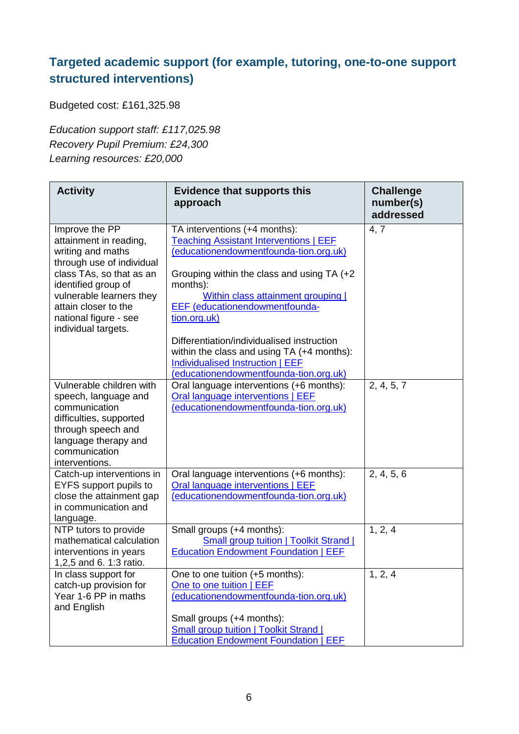### **Targeted academic support (for example, tutoring, one-to-one support structured interventions)**

Budgeted cost: £161,325.98

*Education support staff: £117,025.98 Recovery Pupil Premium: £24,300 Learning resources: £20,000*

| <b>Activity</b>                                                                                                                                                                                                                                                               | <b>Evidence that supports this</b><br>approach                                                                                                                                                                                                                                                                                                                                                                                                                      | <b>Challenge</b><br>number(s)<br>addressed |
|-------------------------------------------------------------------------------------------------------------------------------------------------------------------------------------------------------------------------------------------------------------------------------|---------------------------------------------------------------------------------------------------------------------------------------------------------------------------------------------------------------------------------------------------------------------------------------------------------------------------------------------------------------------------------------------------------------------------------------------------------------------|--------------------------------------------|
| Improve the PP<br>attainment in reading,<br>writing and maths<br>through use of individual<br>class TAs, so that as an<br>identified group of<br>vulnerable learners they<br>attain closer to the<br>national figure - see<br>individual targets.<br>Vulnerable children with | TA interventions (+4 months):<br><b>Teaching Assistant Interventions   EEF</b><br>(educationendowmentfounda-tion.org.uk)<br>Grouping within the class and using TA (+2)<br>months):<br>Within class attainment grouping  <br><b>EEF</b> (educationendowmentfounda-<br>tion.org.uk)<br>Differentiation/individualised instruction<br>within the class and using TA (+4 months):<br><b>Individualised Instruction   EEF</b><br>(educationendowmentfounda-tion.org.uk) | 4, 7                                       |
| speech, language and<br>communication<br>difficulties, supported<br>through speech and<br>language therapy and<br>communication<br>interventions.                                                                                                                             | Oral language interventions (+6 months):<br>Oral language interventions   EEF<br>(educationendowmentfounda-tion.org.uk)                                                                                                                                                                                                                                                                                                                                             | 2, 4, 5, 7                                 |
| Catch-up interventions in<br>EYFS support pupils to<br>close the attainment gap<br>in communication and<br>language.                                                                                                                                                          | Oral language interventions (+6 months):<br>Oral language interventions   EEF<br>(educationendowmentfounda-tion.org.uk)                                                                                                                                                                                                                                                                                                                                             | 2, 4, 5, 6                                 |
| NTP tutors to provide<br>mathematical calculation<br>interventions in years<br>1,2,5 and 6. 1:3 ratio.                                                                                                                                                                        | Small groups (+4 months):<br><b>Small group tuition   Toolkit Strand  </b><br><b>Education Endowment Foundation   EEF</b>                                                                                                                                                                                                                                                                                                                                           | 1, 2, 4                                    |
| In class support for<br>catch-up provision for<br>Year 1-6 PP in maths<br>and English                                                                                                                                                                                         | One to one tuition (+5 months):<br>One to one tuition   EEF<br>(educationendowmentfounda-tion.org.uk)<br>Small groups (+4 months):<br><b>Small group tuition   Toolkit Strand  </b><br><b>Education Endowment Foundation   EEF</b>                                                                                                                                                                                                                                  | 1, 2, 4                                    |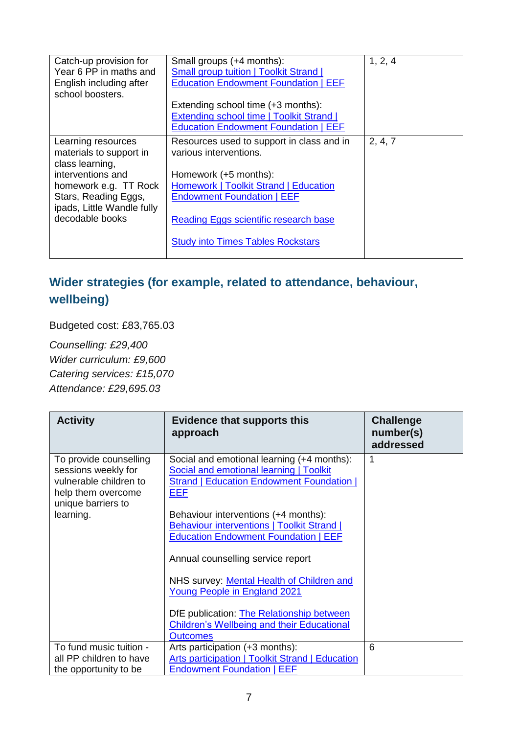| Catch-up provision for<br>Year 6 PP in maths and<br>English including after<br>school boosters.                                                                                         | Small groups (+4 months):<br><b>Small group tuition   Toolkit Strand  </b><br><b>Education Endowment Foundation   EEF</b><br>Extending school time (+3 months):<br><b>Extending school time   Toolkit Strand  </b><br><b>Education Endowment Foundation   EEF</b>      | 1, 2, 4 |
|-----------------------------------------------------------------------------------------------------------------------------------------------------------------------------------------|------------------------------------------------------------------------------------------------------------------------------------------------------------------------------------------------------------------------------------------------------------------------|---------|
| Learning resources<br>materials to support in<br>class learning,<br>interventions and<br>homework e.g. TT Rock<br>Stars, Reading Eggs,<br>ipads, Little Wandle fully<br>decodable books | Resources used to support in class and in<br>various interventions.<br>Homework (+5 months):<br>Homework   Toolkit Strand   Education<br><b>Endowment Foundation   EEF</b><br><b>Reading Eggs scientific research base</b><br><b>Study into Times Tables Rockstars</b> | 2, 4, 7 |

### **Wider strategies (for example, related to attendance, behaviour, wellbeing)**

Budgeted cost: £83,765.03

*Counselling: £29,400 Wider curriculum: £9,600 Catering services: £15,070 Attendance: £29,695.03*

| <b>Activity</b>                                                                                                                  | <b>Evidence that supports this</b><br>approach                                                                                                                                                                                                                                                                                                                                                                                                                                                                                 | <b>Challenge</b><br>number(s)<br>addressed |
|----------------------------------------------------------------------------------------------------------------------------------|--------------------------------------------------------------------------------------------------------------------------------------------------------------------------------------------------------------------------------------------------------------------------------------------------------------------------------------------------------------------------------------------------------------------------------------------------------------------------------------------------------------------------------|--------------------------------------------|
| To provide counselling<br>sessions weekly for<br>vulnerable children to<br>help them overcome<br>unique barriers to<br>learning. | Social and emotional learning (+4 months):<br><b>Social and emotional learning   Toolkit</b><br><b>Strand   Education Endowment Foundation  </b><br><b>EEF</b><br>Behaviour interventions (+4 months):<br>Behaviour interventions   Toolkit Strand  <br><b>Education Endowment Foundation   EEF</b><br>Annual counselling service report<br>NHS survey: Mental Health of Children and<br>Young People in England 2021<br>DfE publication: <b>The Relationship between</b><br><b>Children's Wellbeing and their Educational</b> | 1                                          |
|                                                                                                                                  | <b>Outcomes</b>                                                                                                                                                                                                                                                                                                                                                                                                                                                                                                                |                                            |
| To fund music tuition -<br>all PP children to have<br>the opportunity to be                                                      | Arts participation (+3 months):<br>Arts participation   Toolkit Strand   Education<br><b>Endowment Foundation   EEF</b>                                                                                                                                                                                                                                                                                                                                                                                                        | 6                                          |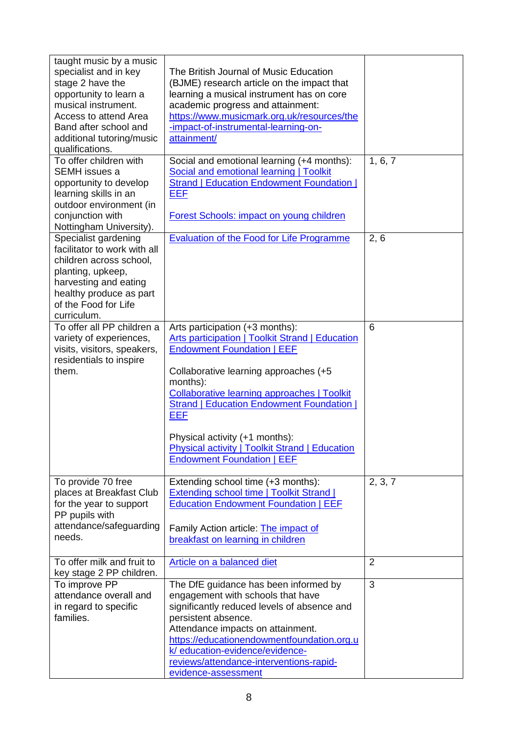| taught music by a music<br>specialist and in key<br>stage 2 have the<br>opportunity to learn a<br>musical instrument.<br>Access to attend Area<br>Band after school and<br>additional tutoring/music<br>qualifications. | The British Journal of Music Education<br>(BJME) research article on the impact that<br>learning a musical instrument has on core<br>academic progress and attainment:<br>https://www.musicmark.org.uk/resources/the<br>-impact-of-instrumental-learning-on-<br>attainment/                                                                                                                                                          |                |
|-------------------------------------------------------------------------------------------------------------------------------------------------------------------------------------------------------------------------|--------------------------------------------------------------------------------------------------------------------------------------------------------------------------------------------------------------------------------------------------------------------------------------------------------------------------------------------------------------------------------------------------------------------------------------|----------------|
| To offer children with<br><b>SEMH</b> issues a<br>opportunity to develop<br>learning skills in an<br>outdoor environment (in<br>conjunction with<br>Nottingham University).                                             | Social and emotional learning (+4 months):<br><b>Social and emotional learning   Toolkit</b><br><b>Strand   Education Endowment Foundation  </b><br><b>EEF</b><br><b>Forest Schools: impact on young children</b>                                                                                                                                                                                                                    | 1, 6, 7        |
| Specialist gardening<br>facilitator to work with all<br>children across school,<br>planting, upkeep,<br>harvesting and eating<br>healthy produce as part<br>of the Food for Life<br>curriculum.                         | <b>Evaluation of the Food for Life Programme</b>                                                                                                                                                                                                                                                                                                                                                                                     | 2, 6           |
| To offer all PP children a<br>variety of experiences,<br>visits, visitors, speakers,<br>residentials to inspire<br>them.                                                                                                | Arts participation (+3 months):<br>Arts participation   Toolkit Strand   Education<br><b>Endowment Foundation   EEF</b><br>Collaborative learning approaches (+5<br>months):<br><b>Collaborative learning approaches   Toolkit</b><br><b>Strand   Education Endowment Foundation  </b><br><b>EEF</b><br>Physical activity (+1 months):<br><b>Physical activity   Toolkit Strand   Education</b><br><b>Endowment Foundation   EEF</b> | 6              |
| To provide 70 free<br>places at Breakfast Club<br>for the year to support<br>PP pupils with<br>attendance/safeguarding<br>needs.                                                                                        | Extending school time (+3 months):<br><b>Extending school time   Toolkit Strand  </b><br><b>Education Endowment Foundation   EEF</b><br>Family Action article: The impact of<br>breakfast on learning in children                                                                                                                                                                                                                    | 2, 3, 7        |
| To offer milk and fruit to<br>key stage 2 PP children.                                                                                                                                                                  | Article on a balanced diet                                                                                                                                                                                                                                                                                                                                                                                                           | $\overline{2}$ |
| To improve PP<br>attendance overall and<br>in regard to specific<br>families.                                                                                                                                           | The DfE guidance has been informed by<br>engagement with schools that have<br>significantly reduced levels of absence and<br>persistent absence.<br>Attendance impacts on attainment.<br>https://educationendowmentfoundation.org.u<br>k/ education-evidence/evidence-<br>reviews/attendance-interventions-rapid-<br>evidence-assessment                                                                                             | 3              |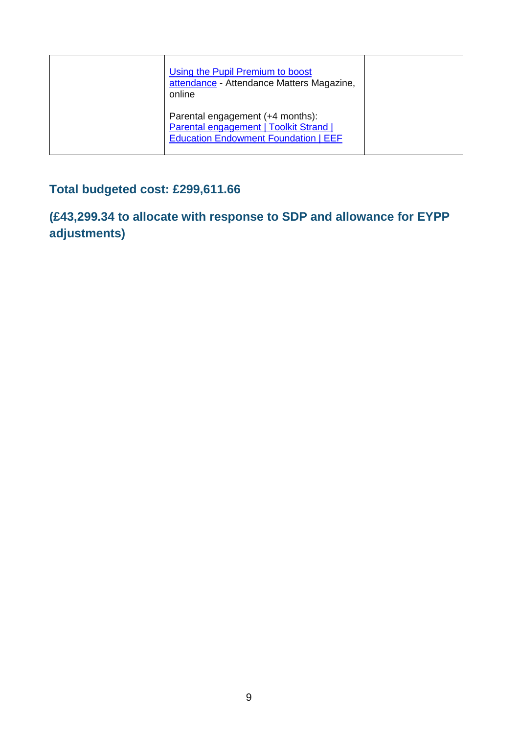| Using the Pupil Premium to boost<br>attendance - Attendance Matters Magazine,<br>online                                   |  |
|---------------------------------------------------------------------------------------------------------------------------|--|
| Parental engagement (+4 months):<br>Parental engagement   Toolkit Strand  <br><b>Education Endowment Foundation   EEF</b> |  |

# **Total budgeted cost: £299,611.66**

**(£43,299.34 to allocate with response to SDP and allowance for EYPP adjustments)**